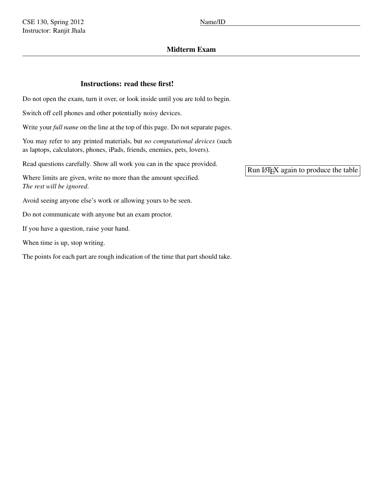# Midterm Exam

# Instructions: read these first!

Do not open the exam, turn it over, or look inside until you are told to begin.

Switch off cell phones and other potentially noisy devices.

Write your *full name* on the line at the top of this page. Do not separate pages.

You may refer to any printed materials, but *no computational devices* (such as laptops, calculators, phones, iPads, friends, enemies, pets, lovers).

Read questions carefully. Show all work you can in the space provided.

Where limits are given, write no more than the amount specified. *The rest will be ignored*.

Avoid seeing anyone else's work or allowing yours to be seen.

Do not communicate with anyone but an exam proctor.

If you have a question, raise your hand.

When time is up, stop writing.

The points for each part are rough indication of the time that part should take.

Run LATEX again to produce the table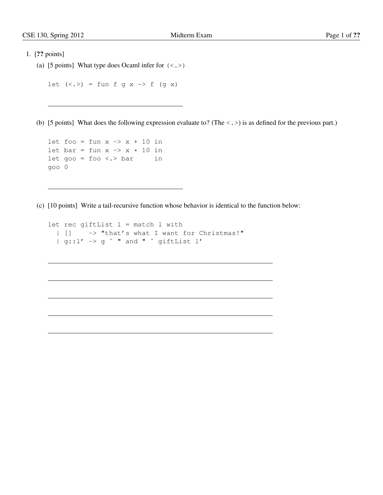```
(a) [5 points] What type does Ocaml infer for \langle \langle \rangle)
```

```
let (\langle . \rangle) = fun f g x -> f (g x)
```
(b) [5 points] What does the following expression evaluate to? (The  $\langle . \rangle$ ) is as defined for the previous part.)

```
let foo = fun x \rightarrow x + 10 in
let bar = fun x \rightarrow x * 10 in
let goo = foo <. > bar in
goo 0
```
(c) [10 points] Write a tail-recursive function whose behavior is identical to the function below:

```
let rec giftList l = match l with| [] -> "that's what I want for Christmas!"
  | g::l' -> g ˆ " and " ˆ giftList l'
```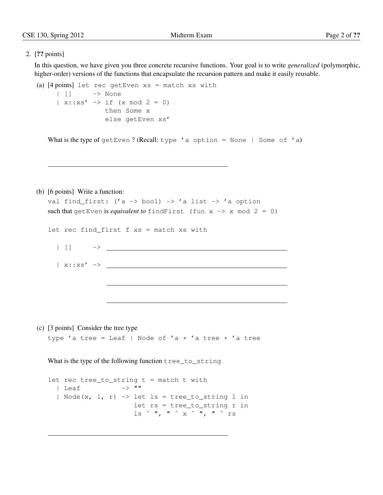In this question, we have given you three concrete recursive functions. Your goal is to write *generalized* (polymorphic, higher-order) versions of the functions that encapsulate the recursion pattern and make it easily reusable.

```
(a) [4 \text{ points}] let rec getEven xs = match xs with
     | [] -> None
     | x:xs' \rightarrow if (x mod 2 = 0)then Some x
                   else getEven xs'
```
What is the type of getEven? (Recall: type 'a option = None | Some of 'a)

### (b) [6 points] Write a function:

```
val find_first: ('a \rightarrow bool) \rightarrow 'a list \rightarrow 'a option
such that getEven is equivalent to findFirst (fun x \rightarrow x mod 2 = 0)
let rec find_first f xs = match xs with
 | [] ->
 | x::xs' \rightarrow
```
(c) [3 points] Consider the tree type type 'a tree = Leaf | Node of 'a  $*$  'a tree  $*$  'a tree

What is the type of the following function tree\_to\_string

```
let rec tree_to_string t = match t with
    | Leaf -> ""
     | Node(x, 1, r) -> let ls = tree_to_string 1 inlet rs = tree_to_string r in
                                                  \ln 2 \frac{1}{2} \frac{1}{2} \frac{1}{2} \frac{1}{2} \frac{1}{2} \frac{1}{2} \frac{1}{2} \frac{1}{2} \frac{1}{2} \frac{1}{2} \frac{1}{2} \frac{1}{2} \frac{1}{2} \frac{1}{2} \frac{1}{2} \frac{1}{2} \frac{1}{2} \frac{1}{2} \frac{1}{2} \frac{1}{2} \frac{1}{2} \frac{
```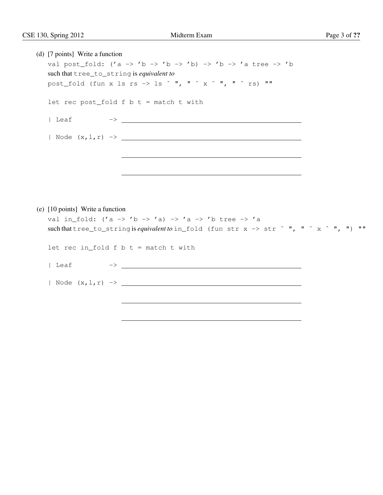|  | (d) [7 points] Write a function           |                                                                                                                                                                                                                               |  |  |
|--|-------------------------------------------|-------------------------------------------------------------------------------------------------------------------------------------------------------------------------------------------------------------------------------|--|--|
|  |                                           | val post fold: $('a \rightarrow 'b \rightarrow 'b \rightarrow 'b) \rightarrow 'b \rightarrow 'a$ tree $\rightarrow 'b$                                                                                                        |  |  |
|  | such that tree_to_string is equivalent to |                                                                                                                                                                                                                               |  |  |
|  |                                           | post_fold (fun x ls rs -> ls ^ ", " ^ x ^ ", " ^ rs) ""                                                                                                                                                                       |  |  |
|  |                                           | let rec post_fold $f$ $b$ $t$ = match $t$ with                                                                                                                                                                                |  |  |
|  |                                           |                                                                                                                                                                                                                               |  |  |
|  |                                           |                                                                                                                                                                                                                               |  |  |
|  |                                           | the control of the control of the control of the control of the control of the control of the control of the control of the control of the control of the control of the control of the control of the control of the control |  |  |
|  |                                           |                                                                                                                                                                                                                               |  |  |
|  |                                           |                                                                                                                                                                                                                               |  |  |
|  |                                           |                                                                                                                                                                                                                               |  |  |
|  | (e) [10 points] Write a function          |                                                                                                                                                                                                                               |  |  |
|  |                                           | val in_fold: $('a \rightarrow 'b \rightarrow 'a) \rightarrow 'a \rightarrow 'b$ tree $\rightarrow 'a$                                                                                                                         |  |  |
|  |                                           | such that tree_to_string is <i>equivalent to</i> in_fold (fun str x -> str $\hat{ }$ ", " $\hat{ }$ x $\hat{ }$ ", ") ""                                                                                                      |  |  |
|  |                                           | let rec in_fold $f$ $b$ $t$ = match $t$ with                                                                                                                                                                                  |  |  |
|  | Leaf                                      |                                                                                                                                                                                                                               |  |  |
|  |                                           |                                                                                                                                                                                                                               |  |  |
|  |                                           |                                                                                                                                                                                                                               |  |  |
|  |                                           |                                                                                                                                                                                                                               |  |  |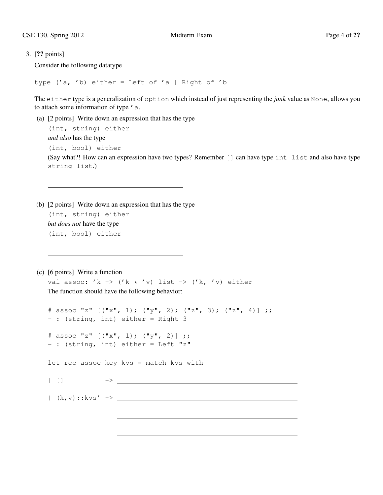Consider the following datatype

type ('a, 'b) either = Left of 'a | Right of 'b

The either type is a generalization of option which instead of just representing the *junk* value as None, allows you to attach some information of type 'a.

- (a) [2 points] Write down an expression that has the type (int, string) either *and also* has the type (int, bool) either (Say what?! How can an expression have two types? Remember [] can have type int list and also have type string list.)
- (b) [2 points] Write down an expression that has the type (int, string) either *but does not* have the type (int, bool) either

(c) [6 points] Write a function

val assoc: 'k -> ('k \* 'v) list -> ('k, 'v) either The function should have the following behavior:

```
# assoc "z" [("x", 1); ("y", 2); ("z", 3); ("z", 4)];
- : (string, int) either = Right 3
# assoc "z" [("x", 1); ("y", 2)] ;;
- : (string, int) either = Left "z"
let rec assoc key kvs = match kvs with
| [] ->
| (k,v)::kvs' ->
```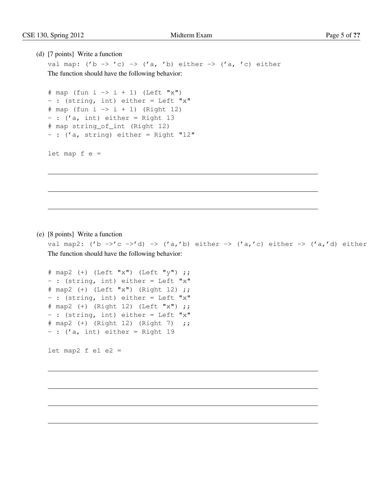### (d) [7 points] Write a function

val map:  $('b \rightarrow 'c) \rightarrow ('a, 'b)$  either  $\rightarrow ('a, 'c)$  either The function should have the following behavior:

```
# map (fun i \rightarrow i + 1) (Left "x")- : (string, int) either = Left "x"
# map (fun i -> i + 1) (Right 12)
- : ('a, int) either = Right 13
# map string_of_int (Right 12)
- : ('a, string) either = Right "12"
```
let map  $f e =$ 

(e) [8 points] Write a function

val map2: ('b ->'c ->'d) -> ('a,'b) either -> ('a,'c) either -> ('a,'d) either The function should have the following behavior:

```
# map2 (+) (Left "x") (Left "y") ;;
-: (string, int) either = Left "x"
# map2 (+) (Left "x") (Right 12) ;;
- : (string, int) either = Left "x"
# map2 (+) (Right 12) (Left "x") ;;
- : (string, int) either = Left "x"
# map2 (+) (Right 12) (Right 7) ;;
- : ('a, int) either = Right 19
```
let map2  $f$  e1 e2 =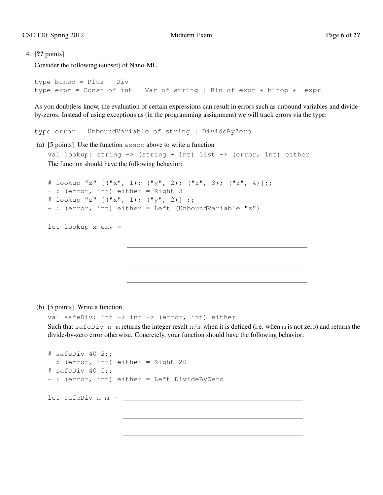Consider the following (subset) of Nano-ML.

```
type binop = Plus | Div
type expr = Const of int | Var of string | Bin of expr * binop * expr
```
As you doubtless know, the evaluation of certain expressions can result in errors such as unbound variables and divideby-zeros. Instead of using exceptions as (in the programming assignment) we will track errors via the type:

```
type error = UnboundVariable of string | DivideByZero
```
(a) [5 points] Use the function assoc above to write a function val lookup: string  $\rightarrow$  (string  $\star$  int) list  $\rightarrow$  (error, int) either The function should have the following behavior:

```
\# lookup "z" [("x", 1); ("y", 2); ("z", 3); ("z", 4)];;- : (error, int) either = Right 3
\# lookup "z" [("x", 1); ("y", 2)];
- : (error, int) either = Left (UnboundVariable "z")
let lookup x env =
```
(b) [5 points] Write a function

val safeDiv: int  $\rightarrow$  int  $\rightarrow$  (error, int) either Such that safeDiv n m returns the integer result  $n/m$  when it is defined (i.e. when m is not zero) and returns the divide-by-zero error otherwise. Concretely, your function should have the following behavior:

```
# safeDiv 40 2;;
- : (error, int) either = Right 20
# safeDiv 40 0;;
- : (error, int) either = Left DivideByZero
let safeDiv n m =
```